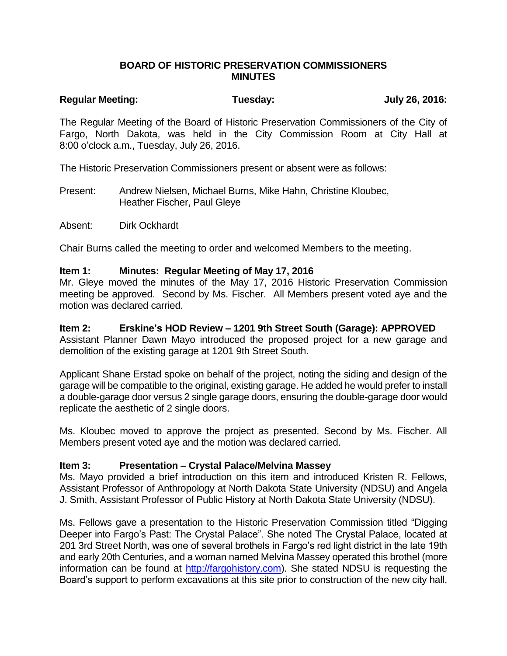# **BOARD OF HISTORIC PRESERVATION COMMISSIONERS MINUTES**

# **Regular Meeting: Tuesday: July 26, 2016:**

The Regular Meeting of the Board of Historic Preservation Commissioners of the City of Fargo, North Dakota, was held in the City Commission Room at City Hall at 8:00 o'clock a.m., Tuesday, July 26, 2016.

The Historic Preservation Commissioners present or absent were as follows:

Present: Andrew Nielsen, Michael Burns, Mike Hahn, Christine Kloubec, Heather Fischer, Paul Gleye

Absent: Dirk Ockhardt

Chair Burns called the meeting to order and welcomed Members to the meeting.

# **Item 1: Minutes: Regular Meeting of May 17, 2016**

Mr. Gleye moved the minutes of the May 17, 2016 Historic Preservation Commission meeting be approved. Second by Ms. Fischer. All Members present voted aye and the motion was declared carried.

# **Item 2: Erskine's HOD Review – 1201 9th Street South (Garage): APPROVED**

Assistant Planner Dawn Mayo introduced the proposed project for a new garage and demolition of the existing garage at 1201 9th Street South.

Applicant Shane Erstad spoke on behalf of the project, noting the siding and design of the garage will be compatible to the original, existing garage. He added he would prefer to install a double-garage door versus 2 single garage doors, ensuring the double-garage door would replicate the aesthetic of 2 single doors.

Ms. Kloubec moved to approve the project as presented. Second by Ms. Fischer. All Members present voted aye and the motion was declared carried.

# **Item 3: Presentation – Crystal Palace/Melvina Massey**

Ms. Mayo provided a brief introduction on this item and introduced Kristen R. Fellows, Assistant Professor of Anthropology at North Dakota State University (NDSU) and Angela J. Smith, Assistant Professor of Public History at North Dakota State University (NDSU).

Ms. Fellows gave a presentation to the Historic Preservation Commission titled "Digging Deeper into Fargo's Past: The Crystal Palace". She noted The Crystal Palace, located at 201 3rd Street North, was one of several brothels in Fargo's red light district in the late 19th and early 20th Centuries, and a woman named Melvina Massey operated this brothel (more information can be found at [http://fargohistory.com\)](http://fargohistory.com/). She stated NDSU is requesting the Board's support to perform excavations at this site prior to construction of the new city hall,